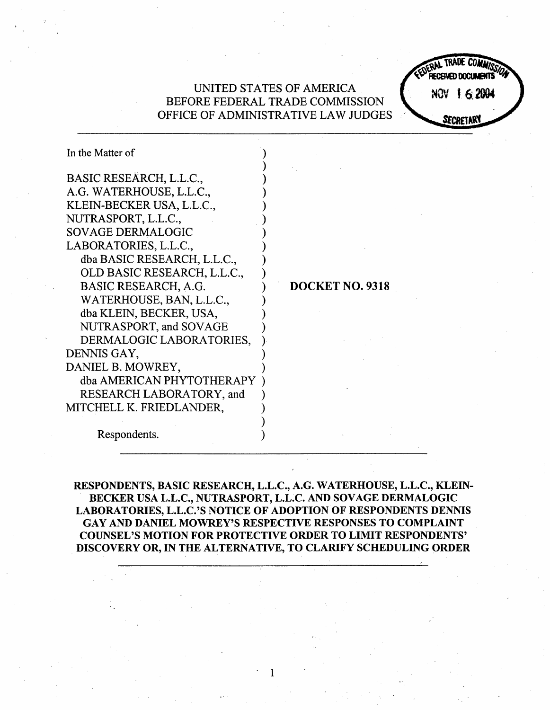# UNITED STATES OF AMERICA BEFORE FEDERAL TRADE COMMISSION OFFICE OF ADMINISTRATIVE LAW JUDGES SECRETAR

NOV 1 6 2004

In the Matter of BASIC RESEARCH, L.L.c. G. WATERHOUSE, L.L.C. KLEIN-BECKER USA, L.L.c. NUTRASPORT, L.L.c. SOY AGE DERMALOGIC LABORATORIES, L.L.C. dba BASIC RESEARCH, L.L.c. BASIC RESEARCH, A.G. OLD BASIC RESEARCH, L.L.C. WATERHOUSE, BAN, L.L.C. dba KLEIN, BECKER, USA NUTRASPORT, and SOVAGE DERMALOGIC LABORATORIES. DENNIS GAY DANIEL B. MOWREY dba AMERICAN PHYTOTHERAPY ) RESEARCH LABORATORY, and MITCHELL K. FRIEDLANDER

DOCKET NO. 9318

Respondents.

RESPONDENTS, BASIC RESEARCH, L.L.C., A.G. WATERHOUSE, L.L.C., KLEIN-BECKER USA L.L.C., NUTRASPORT, L.L.C. AND SOVAGE DERMALOGIC LABORATORIES, L.L.C.'S NOTICE OF ADOPTION OF RESPONDENTS DENNIS GAY AND DANIEL MOWREY' S RESPECTIVE RESPONSES TO COMPLAINT COUNSEL'S MOTION FOR PROTECTIVE ORDER TO LIMIT RESPONDENTS' DISCOVERY OR, IN THE ALTERNATIVE, TO CLARIFY SCHEDULING ORDER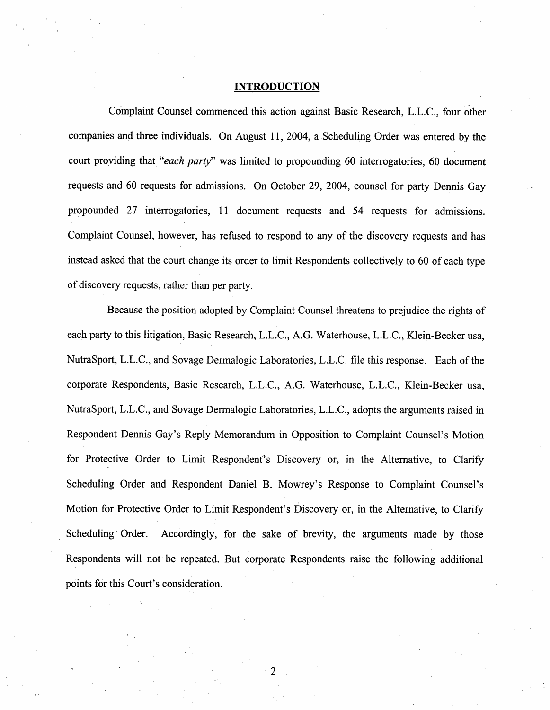#### INTRODUCTION

Complaint Counsel commenced this action against Basic Research, L.L.C. , four other companies and three individuals. On August 11 , 2004, a Scheduling Order was entered by the court providing that "each party" was limited to propounding 60 interrogatories, 60 document requests and 60 requests for admissions. On October 29, 2004, counsel for party Dennis Gay propounded 27 interrogatories, 11 document requests and 54 requests for admissions. Complaint Counsel, however, has refused to respond to any of the discovery requests and has instead asked that the court change its order to limit Respondents collectively to 60 of each type of discovery requests, rather than per party.

Because the position adopted by Complaint Counsel threatens to prejudice the rights of each party to this litigation, Basic Research, L.L.C., A.G. Waterhouse, L.L.C., Klein-Becker usa, NutraSport, L.L.c. , and Sovage Dermalogic Laboratories, L.L.c. fie this response. Each of the corporate Respondents, Basic Research, L.L.C., A.G. Waterhouse, L.L.C., Klein-Becker usa, NutraSport, L.L.c. , and Sovage Dermalogic Laboratories, L.L.c. , adopts the arguments raised in Respondent Dennis Gay's Reply Memorandum in Opposition to Complaint Counsel's Motion for Protective Order to Limit Respondent's Discovery or , in the Alternative, to Clarify Scheduling Order and Respondent Daniel B. Mowrey's Response to Complaint Counsel's Motion for Protective Order to Limit Respondent's Discovery or, in the Alternative, to Clarify Scheduling Order. Accordingly, for the sake of brevity, the arguments made by those Respondents will not be repeated. But corporate Respondents raise the following additional points for this Court's consideration.

 $\overline{2}$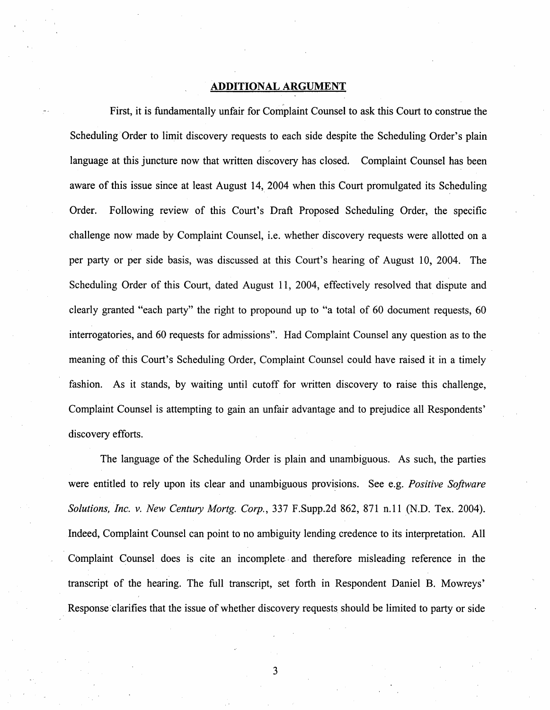### ADDITIONAL ARGUMENT

First, it is fundamentally unfair for Complaint Counsel to ask this Court to construe the Scheduling Order to limit discovery requests to each side despite the Scheduling Order's plain language at this juncture now that written discovery has closed. Complaint Counsel has been aware of this issue since at least August 14, 2004 when this Court promulgated its Scheduling Order. Following review of this Court's Draft Proposed Scheduling Order, the specific challenge now made by Complaint Counsel, i.e. whether discovery requests were allotted on a per party or per side basis, was discussed at this Court's hearing of August 10, 2004. The Scheduling Order of this Court, dated August 11, 2004, effectively resolved that dispute and clearly granted "each party" the right to propound up to "a total of 60 document requests, 60 interrogatories, and 60 requests for admissions". Had Complaint Counsel any question as to the meaning of this Court's Scheduling Order, Complaint Counsel could have raised it in a timely fashion. As it stands, by waiting until cutoff for written discovery to raise this challenge, Complaint Counsel is attempting to gain an unfair advantage and to prejudice all Respondents discovery efforts.

The language of the Scheduling Order is plain and unambiguous. As such, the parties were entitled to rely upon its clear and unambiguous provisions. See e.g. Positive Software Solutions, Inc. v. New Century Mortg. Corp., 337 F.Supp. 2d 862, 871 n.11 (N.D. Tex. 2004). Indeed, Complaint Counsel can point to no ambiguity lending credence to its interpretation. All Complaint Counsel does is cite an incomplete and therefore misleading reference in the transcript of the hearing. The full transcript, set forth in Respondent Daniel B. Mowreys Response clarifies that the issue of whether discovery requests should be limited to party or side

3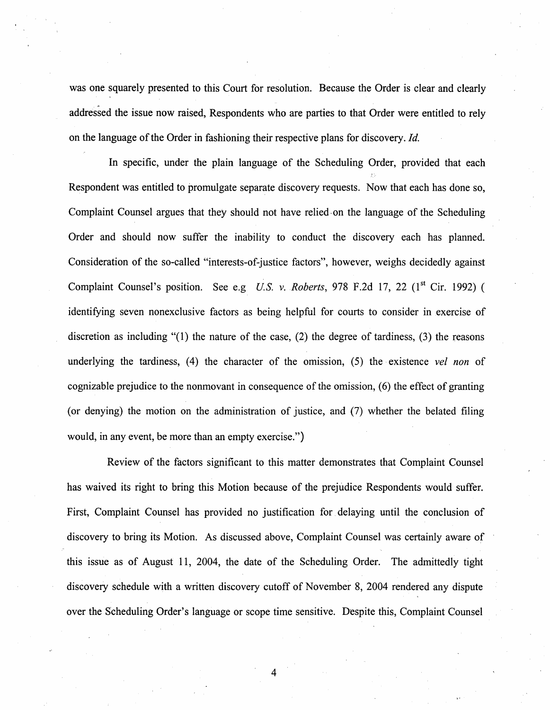was one squarely presented to this Court for resolution. Because the Order is clear and clearly addressed the issue now raised, Respondents who are parties to that Order were entitled to rely on the language of the Order in fashioning their respective plans for discovery. Id.

In specific, under the plain language of the Scheduling Order, provided that each Respondent was entitled to promulgate separate discovery requests. Now that each has done so, Complaint Counsel argues that they should not have relied on the language of the Scheduling Order and should now suffer the inability to conduct the discovery each has planned. Consideration of the so-called "interests-of-justice factors", however, weighs decidedly against Complaint Counsel's position. See e.g U.S. v. Roberts, 978 F.2d 17, 22 ( $1<sup>st</sup>$  Cir. 1992) ( identifying seven nonexclusive factors as being helpful for courts to consider in exercise of discretion as including "(I) the nature of the case, (2) the degree of tardiness, (3) the reasons underlying the tardiness,  $(4)$  the character of the omission,  $(5)$  the existence vel non of cognizable prejudice to the nonmovant in consequence of the omission, (6) the effect of granting (or denying) the motion on the administration of justice, and (7) whether the belated fiing would, in any event, be more than an empty exercise.")

Review of the factors significant to this matter demonstrates that Complaint Counsel has waived its right to bring this Motion because of the prejudice Respondents would suffer. First, Complaint Counsel has provided no justification for delaying until the conclusion of discovery to bring its Motion. As discussed above, Complaint Counsel was certainly aware of this issue as of August 11, 2004, the date of the Scheduling Order. The admittedly tight discovery schedule with a written discovery cutoff of November 8, 2004 rendered any dispute over the Scheduling Order's language or scope time sensitive. Despite this, Complaint Counsel

 $\overline{4}$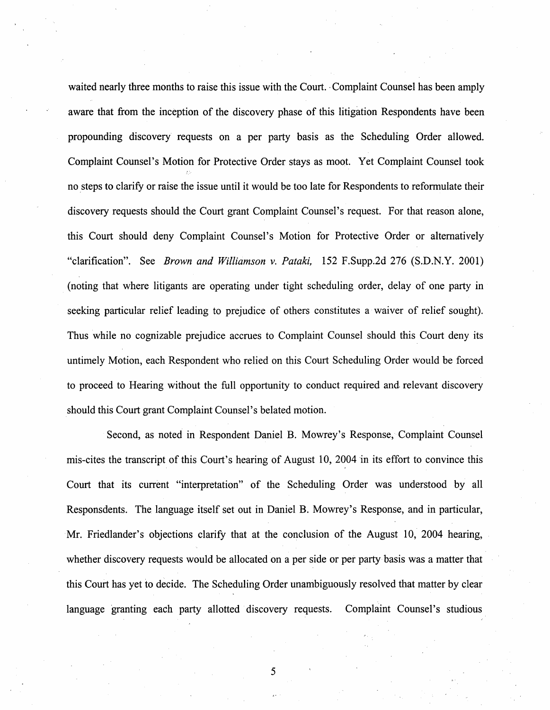waited nearly three months to raise this issue with the Court. Complaint Counsel has been amply aware that from the inception of the discovery phase of this litigation Respondents have been propounding discovery requests on a per party basis as the Scheduling Order allowed. Complaint Counsel's Motion for Protective Order stays as moot. Yet Complaint Counsel took no steps to clarify or raise the issue until it would be too late for Respondents to reformulate their discovery requests should the Court grant Complaint Counsel's request. For that reason alone, this Court should deny Complaint Counsel's Motion for Protective Order or alternatively "clarification". See *Brown and Williamson v. Pataki*, 152 F. Supp. 2d 276 (S.D.N.Y. 2001) (noting that where litigants are operating under tight scheduling order, delay of one party in seeking particular relief leading to prejudice of others constitutes a waiver of relief sought). Thus while no cognizable prejudice accrues to Complaint Counsel should this Court deny its untimely Motion, each Respondent who relied on this Court Scheduling Order would be forced to proceed to Hearing without the full opportunity to conduct required and relevant discovery should this Court grant Complaint Counsel's belated motion.

Second, as noted in Respondent Daniel B. Mowrey's Response, Complaint Counsel mis-cites the transcript of this Court's hearing of August 10, 2004 in its effort to convince this Court that its current "interpretation" of the Scheduling Order was understood by all Responsdents. The language itself set out in Daniel B. Mowrey's Response, and in particular, Mr. Friedlander's objections clarify that at the conclusion of the August 10, 2004 hearing, whether discovery requests would be allocated on a per side or per party basis was a matter that this Court has yet to decide. The Scheduling Order unambiguously resolved that matter by clear language granting each party allotted discovery requests. Complaint Counsel's studious

5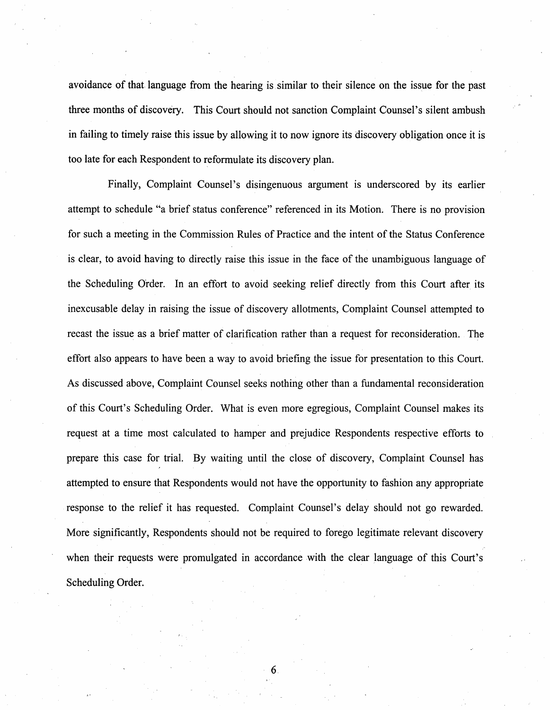avoidance of that language from the hearing is similar to their silence on the issue for the past three months of discovery. This Court should not sanction Complaint Counsel's silent ambush in failing to timely raise this issue by allowing it to now ignore its discovery obligation once it is too late for each Respondent to reformulate its discovery plan.

Finally, Complaint Counsel's disingenuous argument is underscored by its earlier attempt to schedule "a brief status conference" referenced in its Motion. There is no provision for such a meeting in the Commission Rules of Practice and the intent of the Status Conference is clear, to avoid having to directly raise this issue in the face of the unambiguous language of the Scheduling Order. In an effort to avoid seeking relief directly from this Court after its inexcusable delay in raising the issue of discovery allotments, Complaint Counsel attempted to recast the issue as a brief matter of clarification rather than a request for reconsideration. The effort also appears to have been a way to avoid briefing the issue for presentation to this Court. As discussed above, Complaint Counsel seeks nothing other than a fundamental reconsideration of this Court's Scheduling Order. What is even more egregious, Complaint Counsel makes its request at a time most calculated to hamper and prejudice Respondents respective efforts to prepare this case for trial. By waiting until the close of discovery, Complaint Counsel has attempted to ensure that Respondents would not have the opportunity to fashion any appropriate response to the relief it has requested. Complaint Counsel's delay should not go rewarded. More significantly, Respondents should not be required to forego legitimate relevant discovery when their requests were promulgated in accordance with the clear language of this Court's Scheduling Order.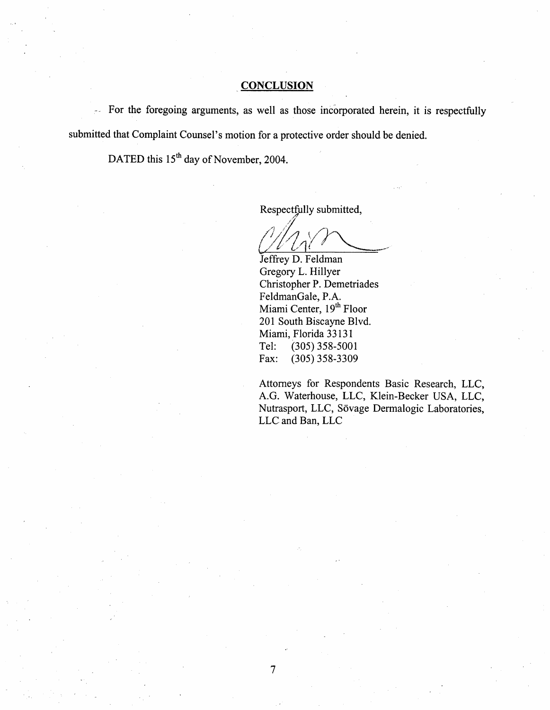## **CONCLUSION**

For the foregoing arguments, as well as those incorporated herein, it is respectfully submitted that Complaint Counsel's motion for a protective order should be denied.

DATED this 15<sup>th</sup> day of November, 2004.

Respectfully submitted

 $\frac{\prime}{\ell}$  $U/\sqrt{1}$ 

Jeffrey D. Feldman Gregory L. Hillyer Christopher P. Demetriades FeldmanGale, P. Miami Center, 19<sup>th</sup> Floor 201 South Biscayne Blvd. Miami, Florida 33131 Tel: (305) 358-5001<br>Fax: (305) 358-3309 (305) 358-3309

Attorneys for Respondents Basic Research, LLC G. Waterhouse, LLC, Klein-Becker USA, LLC Nutrasport, LLC, Sövage Dermalogic Laboratories, LLC and Ban, LLC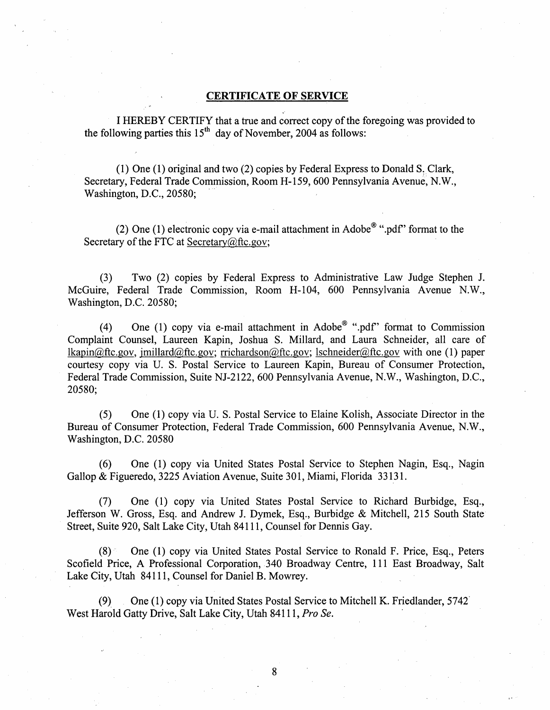### CERTIFICATE OF SERVICE

I HEREBY CERTIFY that a true and correct copy of the foregoing was provided to the following parties this  $15<sup>th</sup>$  day of November, 2004 as follows:

(I) One (I) original and two (2) copies by Federal Express to Donald S, Clark Secretary, Federal Trade Commission, Room H- 159, 600 Pennsylvania Avenue, N. Washington, D.C., 20580;

(2) One (1) electronic copy via e-mail attachment in Adobe  $\mathscr{C}$  ".pdf" format to the Secretary of the FTC at Secretary $@$ ftc.gov;

(3) Two (2) copies by Federal Express to Administrative Law Judge Stephen J. McGuire, Federal Trade Commission, Room H-104, 600 Pennsylvania Avenue N.W., Washington, D.C. 20580;

(4) One (1) copy via e-mail attachment in Adobe<sup>®</sup> ".pdf" format to Commission Complaint Counsel, Laureen Kapin, Joshua S. Milard, and Laura Schneider, all care of  $lkapin@ftc.gov$ , imillard@ftc.gov; rrichardson@ftc.gov; lschneider@ftc.gov with one (1) paper courtesy copy via U. S. Postal Service to Laureen Kapin, Bureau of Consumer Protection Federal Trade Commission, Suite NJ-2122, 600 Pennsylvania Avenue, N.W., Washington, D.C., 20580;

(5) One (I) copy via U. S. Postal Service to Elaine Kolish, Associate Director in the Bureau of Consumer Protection, Federal Trade Commission, 600 Pennsylvania Avenue, N. Washington, D.C. 20580

(6) One (I) copy via United States Postal Service to Stephen Nagin , Esq. , Nagin Gallop & Figueredo, 3225 Aviation Avenue, Suite 301, Miami, Florida 33131.

(7) One (I) copy via United States Postal Service to Richard Burbidge, Esq. Jefferson W. Gross, Esq. and Andrew J. Dymek, Esq., Burbidge & Mitchell, 215 South State Street, Suite 920, Salt Lake City, Utah 84111 , Counsel for Dennis Gay.

 $(8)$  One (1) copy via United States Postal Service to Ronald F. Price, Esq., Peters Scofield Price, A Professional Corporation, 340 Broadway Centre, III East Broadway, Salt Lake City, Utah 84111, Counsel for Daniel B. Mowrey.

(9) One (I) copy via United States Postal Service to Mitchell K. Friedlander, 5742 West Harold Gatty Drive, Salt Lake City, Utah 84111, Pro Se.

8